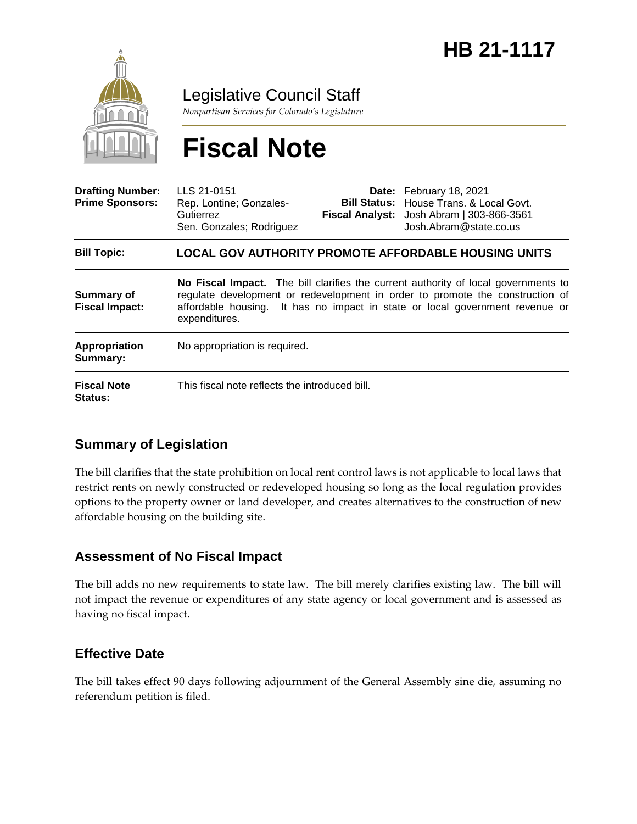

Legislative Council Staff

*Nonpartisan Services for Colorado's Legislature*

# **Fiscal Note**

| <b>Drafting Number:</b><br><b>Prime Sponsors:</b> | LLS 21-0151<br>Rep. Lontine; Gonzales-<br>Gutierrez<br>Sen. Gonzales; Rodriguez                                                                                                                                                                                      |  | Date: February 18, 2021<br><b>Bill Status:</b> House Trans, & Local Govt.<br>Fiscal Analyst: Josh Abram   303-866-3561<br>Josh.Abram@state.co.us |
|---------------------------------------------------|----------------------------------------------------------------------------------------------------------------------------------------------------------------------------------------------------------------------------------------------------------------------|--|--------------------------------------------------------------------------------------------------------------------------------------------------|
| <b>Bill Topic:</b>                                | <b>LOCAL GOV AUTHORITY PROMOTE AFFORDABLE HOUSING UNITS</b>                                                                                                                                                                                                          |  |                                                                                                                                                  |
| Summary of<br><b>Fiscal Impact:</b>               | No Fiscal Impact. The bill clarifies the current authority of local governments to<br>regulate development or redevelopment in order to promote the construction of<br>affordable housing. It has no impact in state or local government revenue or<br>expenditures. |  |                                                                                                                                                  |
| Appropriation<br>Summary:                         | No appropriation is required.                                                                                                                                                                                                                                        |  |                                                                                                                                                  |
| <b>Fiscal Note</b><br>Status:                     | This fiscal note reflects the introduced bill.                                                                                                                                                                                                                       |  |                                                                                                                                                  |

### **Summary of Legislation**

The bill clarifies that the state prohibition on local rent control laws is not applicable to local laws that restrict rents on newly constructed or redeveloped housing so long as the local regulation provides options to the property owner or land developer, and creates alternatives to the construction of new affordable housing on the building site.

#### **Assessment of No Fiscal Impact**

The bill adds no new requirements to state law. The bill merely clarifies existing law. The bill will not impact the revenue or expenditures of any state agency or local government and is assessed as having no fiscal impact.

#### **Effective Date**

The bill takes effect 90 days following adjournment of the General Assembly sine die, assuming no referendum petition is filed.